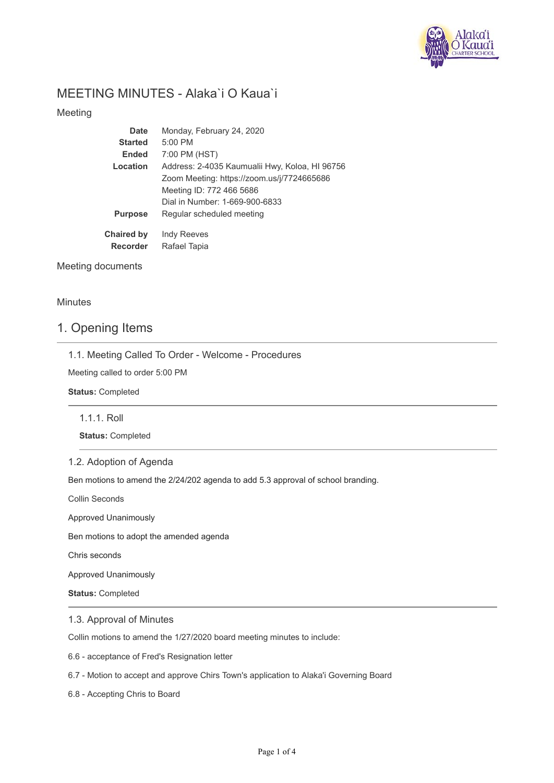

# MEETING MINUTES - Alaka`i O Kaua`i

## Meeting

| Date              | Monday, February 24, 2020                      |
|-------------------|------------------------------------------------|
| <b>Started</b>    | $5:00$ PM                                      |
| <b>Ended</b>      | 7:00 PM (HST)                                  |
| Location          | Address: 2-4035 Kaumualii Hwy, Koloa, HI 96756 |
|                   | Zoom Meeting: https://zoom.us/j/7724665686     |
|                   | Meeting ID: 772 466 5686                       |
|                   | Dial in Number: 1-669-900-6833                 |
| <b>Purpose</b>    | Regular scheduled meeting                      |
| <b>Chaired by</b> | Indy Reeves                                    |
| <b>Recorder</b>   | Rafael Tapia                                   |

## Meeting documents

## **Minutes**

# 1. Opening Items

1.1. Meeting Called To Order - Welcome - Procedures

Meeting called to order 5:00 PM

**Status:** Completed

1.1.1. Roll

**Status:** Completed

## 1.2. Adoption of Agenda

Ben motions to amend the 2/24/202 agenda to add 5.3 approval of school branding.

Collin Seconds

Approved Unanimously

Ben motions to adopt the amended agenda

Chris seconds

Approved Unanimously

**Status:** Completed

1.3. Approval of Minutes

Collin motions to amend the 1/27/2020 board meeting minutes to include:

6.6 - acceptance of Fred's Resignation letter

6.7 - Motion to accept and approve Chirs Town's application to Alaka'i Governing Board

6.8 - Accepting Chris to Board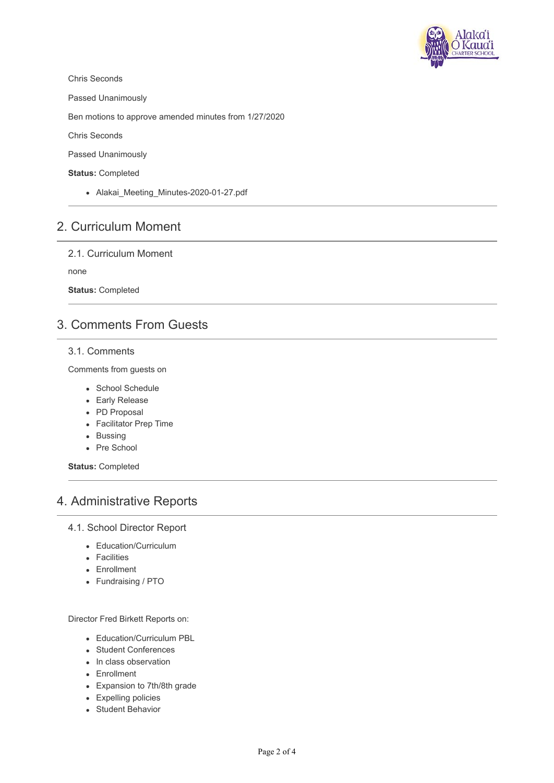

Chris Seconds

Passed Unanimously

Ben motions to approve amended minutes from 1/27/2020

Chris Seconds

Passed Unanimously

**Status:** Completed

• Alakai Meeting Minutes-2020-01-27.pdf

# 2. Curriculum Moment

2.1. Curriculum Moment

none

**Status:** Completed

# 3. Comments From Guests

### 3.1. Comments

Comments from guests on

- School Schedule
- Early Release
- PD Proposal
- Facilitator Prep Time
- Bussing
- Pre School

**Status:** Completed

# 4. Administrative Reports

### 4.1. School Director Report

- Education/Curriculum
- Facilities
- Enrollment
- Fundraising / PTO

Director Fred Birkett Reports on:

- **Education/Curriculum PBL**
- Student Conferences
- In class observation
- Enrollment
- Expansion to 7th/8th grade
- Expelling policies
- Student Behavior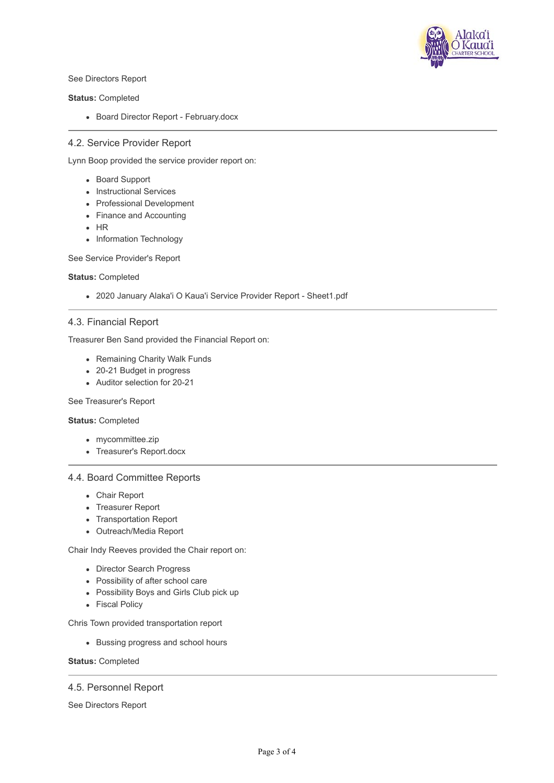

See Directors Report

**Status:** Completed

• Board Director Report - February.docx

## 4.2. Service Provider Report

Lynn Boop provided the service provider report on:

- Board Support
- Instructional Services
- Professional Development
- Finance and Accounting
- $-HR$
- Information Technology

See Service Provider's Report

#### **Status:** Completed

2020 January Alaka'i O Kaua'i Service Provider Report - Sheet1.pdf

### 4.3. Financial Report

Treasurer Ben Sand provided the Financial Report on:

- Remaining Charity Walk Funds
- 20-21 Budget in progress
- Auditor selection for 20-21

### See Treasurer's Report

#### **Status:** Completed

- mycommittee.zip
- Treasurer's Report.docx

### 4.4. Board Committee Reports

- Chair Report
- Treasurer Report
- Transportation Report
- Outreach/Media Report

Chair Indy Reeves provided the Chair report on:

- Director Search Progress
- Possibility of after school care
- Possibility Boys and Girls Club pick up
- Fiscal Policy

Chris Town provided transportation report

Bussing progress and school hours

### **Status:** Completed

### 4.5. Personnel Report

See Directors Report